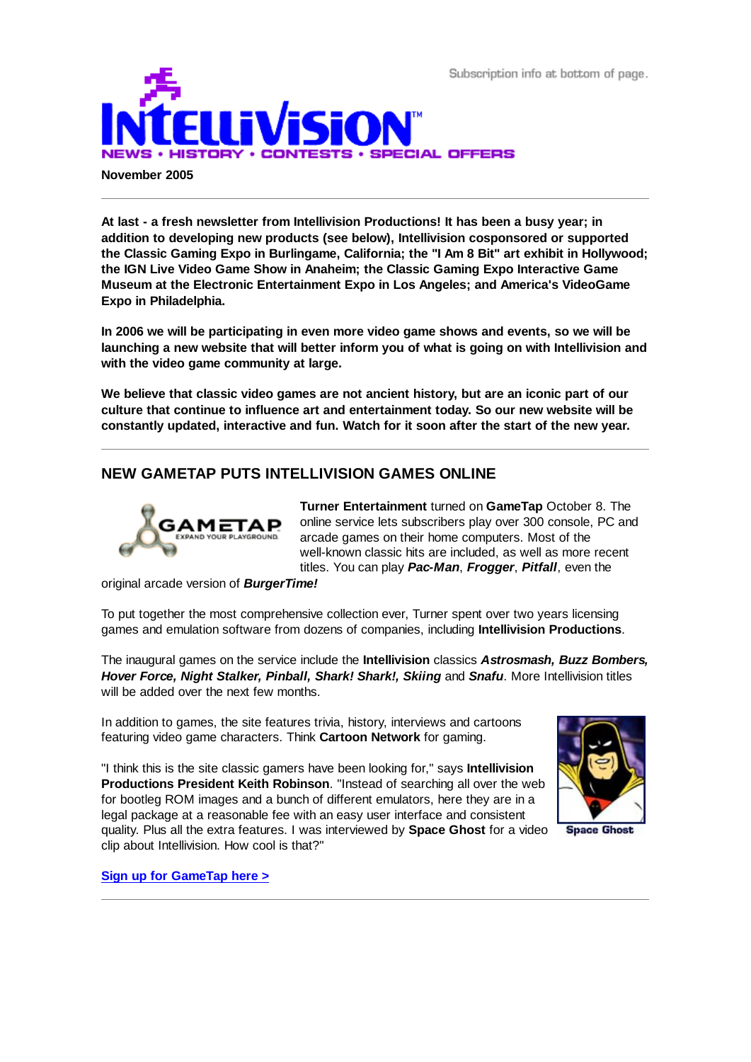Subscription info at bottom of page.



**November 2005**

**At last - a fresh newsletter from Intellivision Productions! It has been a busy year; in addition to developing new products (see below), Intellivision cosponsored or supported the Classic Gaming Expo in Burlingame, California; the "I Am 8 Bit" art exhibit in Hollywood; the IGN Live Video Game Show in Anaheim; the Classic Gaming Expo Interactive Game Museum at the Electronic Entertainment Expo in Los Angeles; and America's VideoGame Expo in Philadelphia.**

**In 2006 we will be participating in even more video game shows and events, so we will be launching a new website that will better inform you of what is going on with Intellivision and with the video game community at large.**

**We believe that classic video games are not ancient history, but are an iconic part of our culture that continue to influence art and entertainment today. So our new website will be constantly updated, interactive and fun. Watch for it soon after the start of the new year.**

# **NEW GAMETAP PUTS INTELLIVISION GAMES ONLINE**



**Turner Entertainment** turned on **GameTap** October 8. The online service lets subscribers play over 300 console, PC and arcade games on their home computers. Most of the well-known classic hits are included, as well as more recent titles. You can play *Pac-Man*, *Frogger*, *Pitfall*, even the

original arcade version of *BurgerTime!*

To put together the most comprehensive collection ever, Turner spent over two years licensing games and emulation software from dozens of companies, including **Intellivision Productions**.

The inaugural games on the service include the **Intellivision** classics *Astrosmash, Buzz Bombers, Hover Force, Night Stalker, Pinball, Shark! Shark!, Skiing* and *Snafu*. More Intellivision titles will be added over the next few months.

In addition to games, the site features trivia, history, interviews and cartoons featuring video game characters. Think **Cartoon Network** for gaming.

"I think this is the site classic gamers have been looking for," says **Intellivision Productions President Keith Robinson**. "Instead of searching all over the web for bootleg ROM images and a bunch of different emulators, here they are in a legal package at a reasonable fee with an easy user interface and consistent quality. Plus all the extra features. I was interviewed by **Space Ghost** for a video clip about Intellivision. How cool is that?"



**Space Ghost** 

**Sign up for GameTap here >**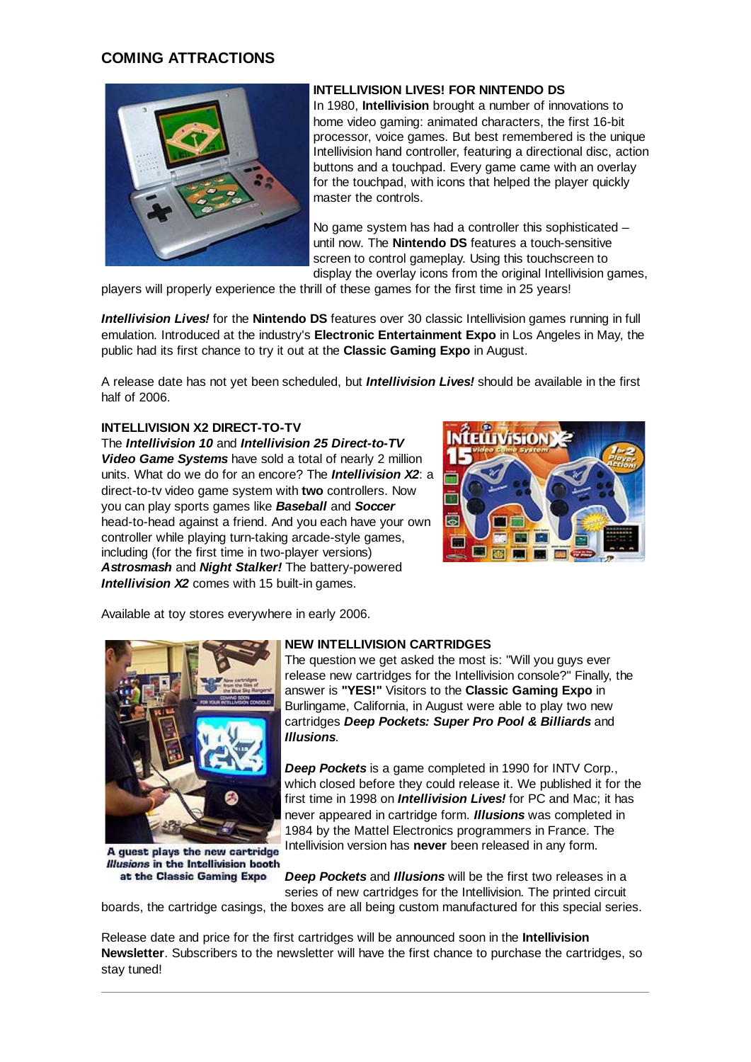# **COMING ATTRACTIONS**



## **INTELLIVISION LIVES! FOR NINTENDO DS**

In 1980, **Intellivision** brought a number of innovations to home video gaming: animated characters, the first 16-bit processor, voice games. But best remembered is the unique Intellivision hand controller, featuring a directional disc, action buttons and a touchpad. Every game came with an overlay for the touchpad, with icons that helped the player quickly master the controls.

No game system has had a controller this sophisticated – until now. The **Nintendo DS** features a touch-sensitive screen to control gameplay. Using this touchscreen to display the overlay icons from the original Intellivision games,

players will properly experience the thrill of these games for the first time in 25 years!

*Intellivision Lives!* for the **Nintendo DS** features over 30 classic Intellivision games running in full emulation. Introduced at the industry's **Electronic Entertainment Expo** in Los Angeles in May, the public had its first chance to try it out at the **Classic Gaming Expo** in August.

A release date has not yet been scheduled, but *Intellivision Lives!* should be available in the first half of 2006.

## **INTELLIVISION X2 DIRECT-TO-TV**

The *Intellivision 10* and *Intellivision 25 Direct-to-TV Video Game Systems* have sold a total of nearly 2 million units. What do we do for an encore? The *Intellivision X2*: a direct-to-tv video game system with **two** controllers. Now you can play sports games like *Baseball* and *Soccer* head-to-head against a friend. And you each have your own controller while playing turn-taking arcade-style games, including (for the first time in two-player versions) *Astrosmash* and *Night Stalker!* The battery-powered *Intellivision X2* comes with 15 built-in games.



Available at toy stores everywhere in early 2006.



A guest plays the new cartridge **Illusions in the Intellivision booth** at the Classic Gaming Expo

## **NEW INTELLIVISION CARTRIDGES**

The question we get asked the most is: "Will you guys ever release new cartridges for the Intellivision console?" Finally, the answer is **"YES!"** Visitors to the **Classic Gaming Expo** in Burlingame, California, in August were able to play two new cartridges *Deep Pockets: Super Pro Pool & Billiards* and *Illusions*.

*Deep Pockets* is a game completed in 1990 for INTV Corp., which closed before they could release it. We published it for the first time in 1998 on *Intellivision Lives!* for PC and Mac; it has never appeared in cartridge form. *Illusions* was completed in 1984 by the Mattel Electronics programmers in France. The Intellivision version has **never** been released in any form.

*Deep Pockets* and *Illusions* will be the first two releases in a series of new cartridges for the Intellivision. The printed circuit

boards, the cartridge casings, the boxes are all being custom manufactured for this special series.

Release date and price for the first cartridges will be announced soon in the **Intellivision Newsletter**. Subscribers to the newsletter will have the first chance to purchase the cartridges, so stay tuned!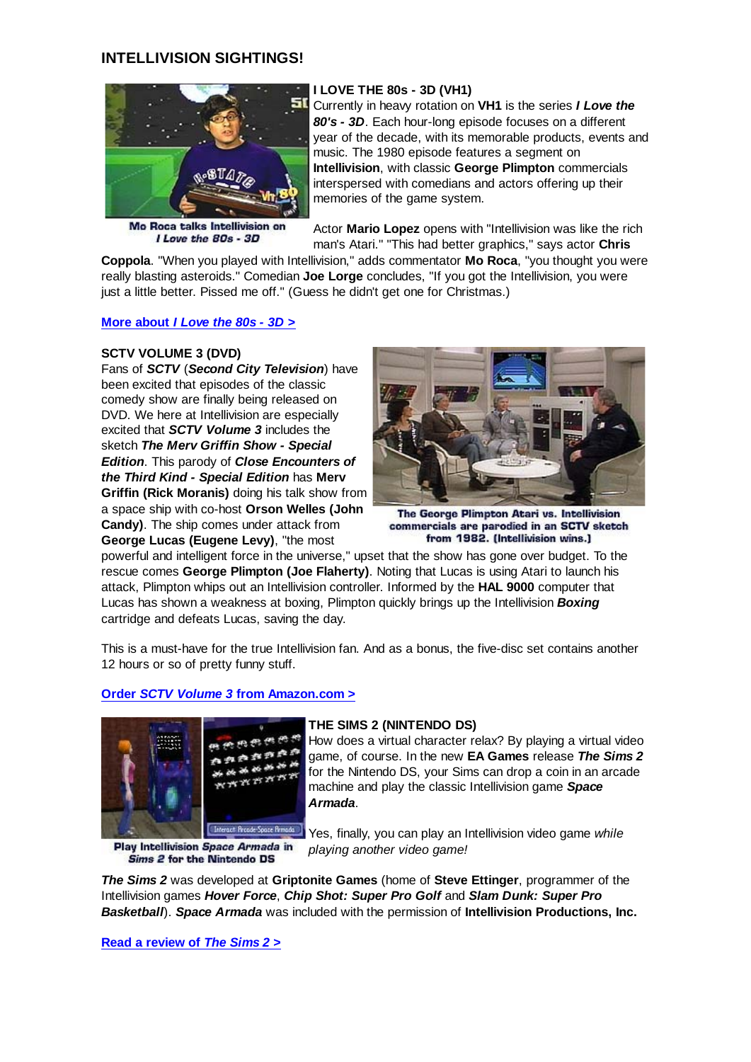## **INTELLIVISION SIGHTINGS!**



Mo Roca talks Intellivision on I Love the 80s - 3D

## **I LOVE THE 80s - 3D (VH1)**

Currently in heavy rotation on **VH1** is the series *I Love the 80's - 3D*. Each hour-long episode focuses on a different year of the decade, with its memorable products, events and music. The 1980 episode features a segment on **Intellivision**, with classic **George Plimpton** commercials interspersed with comedians and actors offering up their memories of the game system.

Actor **Mario Lopez** opens with "Intellivision was like the rich man's Atari." "This had better graphics," says actor **Chris**

**Coppola**. "When you played with Intellivision," adds commentator **Mo Roca**, "you thought you were really blasting asteroids." Comedian **Joe Lorge** concludes, "If you got the Intellivision, you were just a little better. Pissed me off." (Guess he didn't get one for Christmas.)

#### **More about** *I Love the 80s - 3D* **>**

#### **SCTV VOLUME 3 (DVD)**

Fans of *SCTV* (*Second City Television*) have been excited that episodes of the classic comedy show are finally being released on DVD. We here at Intellivision are especially excited that *SCTV Volume 3* includes the sketch *The Merv Griffin Show - Special Edition*. This parody of *Close Encounters of the Third Kind - Special Edition* has **Merv Griffin (Rick Moranis)** doing his talk show from a space ship with co-host **Orson Welles (John Candy)**. The ship comes under attack from **George Lucas (Eugene Levy)**, "the most



The George Plimpton Atari vs. Intellivision commercials are parodied in an SCTV sketch from 1982. (Intellivision wins.)

powerful and intelligent force in the universe," upset that the show has gone over budget. To the rescue comes **George Plimpton (Joe Flaherty)**. Noting that Lucas is using Atari to launch his attack, Plimpton whips out an Intellivision controller. Informed by the **HAL 9000** computer that Lucas has shown a weakness at boxing, Plimpton quickly brings up the Intellivision *Boxing* cartridge and defeats Lucas, saving the day.

This is a must-have for the true Intellivision fan. And as a bonus, the five-disc set contains another 12 hours or so of pretty funny stuff.

#### **Order** *SCTV Volume 3* **from Amazon.com >**



Play Intellivision Space Armada in Sims 2 for the Nintendo DS

#### **THE SIMS 2 (NINTENDO DS)**

How does a virtual character relax? By playing a virtual video game, of course. In the new **EA Games** release *The Sims 2* for the Nintendo DS, your Sims can drop a coin in an arcade machine and play the classic Intellivision game *Space Armada*.

Yes, finally, you can play an Intellivision video game *while playing another video game!*

*The Sims 2* was developed at **Griptonite Games** (home of **Steve Ettinger**, programmer of the Intellivision games *Hover Force*, *Chip Shot: Super Pro Golf* and *Slam Dunk: Super Pro Basketball*). *Space Armada* was included with the permission of **Intellivision Productions, Inc.**

**Read a review of** *The Sims 2* **>**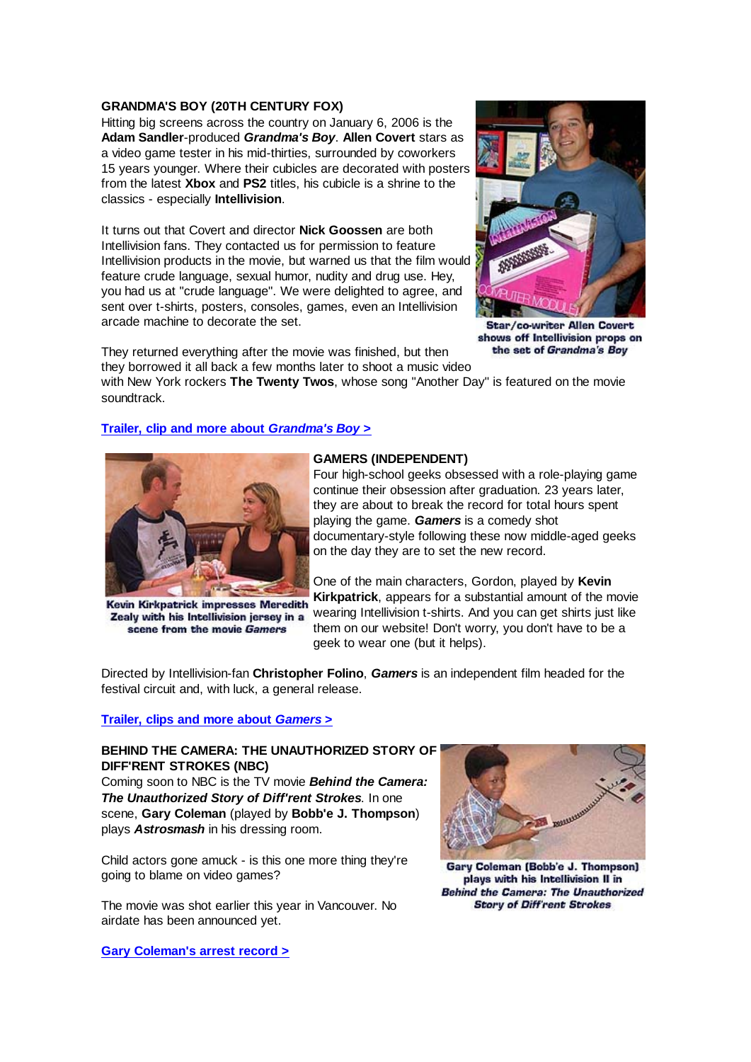#### **GRANDMA'S BOY (20TH CENTURY FOX)**

Hitting big screens across the country on January 6, 2006 is the **Adam Sandler**-produced *Grandma's Boy*. **Allen Covert** stars as a video game tester in his mid-thirties, surrounded by coworkers 15 years younger. Where their cubicles are decorated with posters from the latest **Xbox** and **PS2** titles, his cubicle is a shrine to the classics - especially **Intellivision**.

It turns out that Covert and director **Nick Goossen** are both Intellivision fans. They contacted us for permission to feature Intellivision products in the movie, but warned us that the film would feature crude language, sexual humor, nudity and drug use. Hey, you had us at "crude language". We were delighted to agree, and sent over t-shirts, posters, consoles, games, even an Intellivision arcade machine to decorate the set.



Star/co-writer Allen Covert shows off Intellivision props on the set of Grandma's Boy

They returned everything after the movie was finished, but then they borrowed it all back a few months later to shoot a music video

with New York rockers **The Twenty Twos**, whose song "Another Day" is featured on the movie soundtrack.

## **Trailer, clip and more about** *Grandma's Boy* **>**



Kevin Kirkpatrick impresses Meredith Zealy with his Intellivision jersey in a scene from the movie Gamers

## **GAMERS (INDEPENDENT)**

Four high-school geeks obsessed with a role-playing game continue their obsession after graduation. 23 years later, they are about to break the record for total hours spent playing the game. *Gamers* is a comedy shot documentary-style following these now middle-aged geeks on the day they are to set the new record.

One of the main characters, Gordon, played by **Kevin Kirkpatrick**, appears for a substantial amount of the movie wearing Intellivision t-shirts. And you can get shirts just like them on our website! Don't worry, you don't have to be a geek to wear one (but it helps).

Directed by Intellivision-fan **Christopher Folino**, *Gamers* is an independent film headed for the festival circuit and, with luck, a general release.

## **Trailer, clips and more about** *Gamers* **>**

## **BEHIND THE CAMERA: THE UNAUTHORIZED STORY OF DIFF'RENT STROKES (NBC)**

Coming soon to NBC is the TV movie *Behind the Camera: The Unauthorized Story of Diff'rent Strokes*. In one scene, **Gary Coleman** (played by **Bobb'e J. Thompson**) plays *Astrosmash* in his dressing room.

Child actors gone amuck - is this one more thing they're going to blame on video games?

The movie was shot earlier this year in Vancouver. No airdate has been announced yet.





Gary Coleman (Bobb'e J. Thompson) plays with his Intellivision II in **Behind the Camera: The Unauthorized Story of Diff'rent Strokes**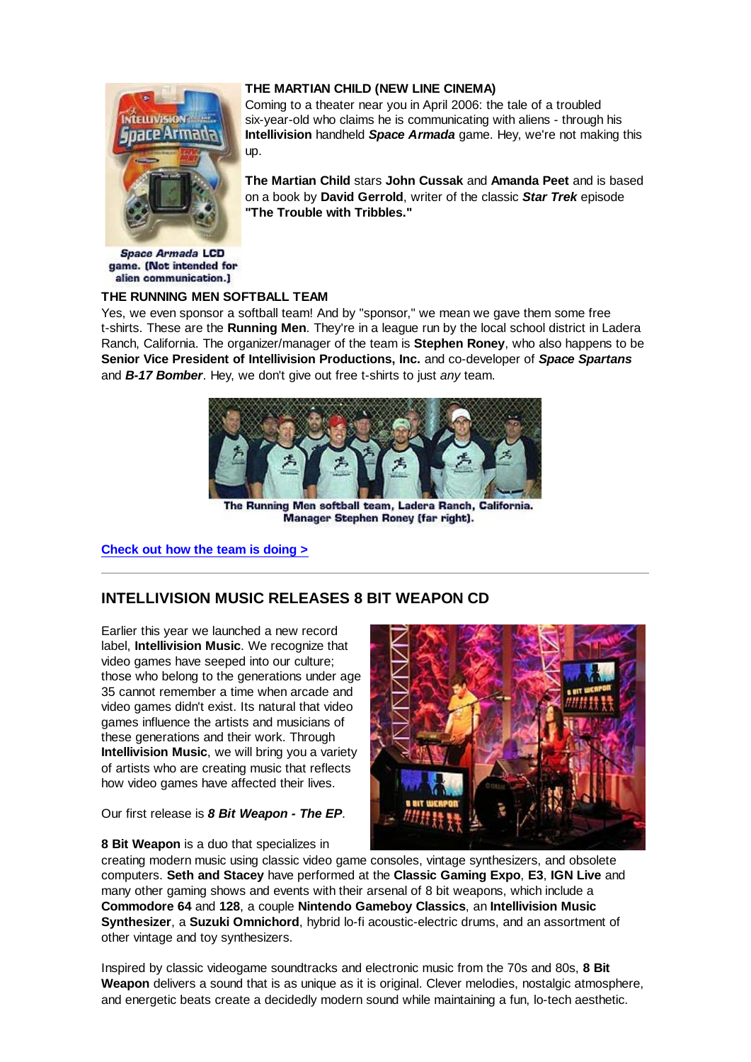## **THE MARTIAN CHILD (NEW LINE CINEMA)**



Coming to a theater near you in April 2006: the tale of a troubled six-year-old who claims he is communicating with aliens - through his **Intellivision** handheld *Space Armada* game. Hey, we're not making this up.

**The Martian Child** stars **John Cussak** and **Amanda Peet** and is based on a book by **David Gerrold**, writer of the classic *Star Trek* episode **"The Trouble with Tribbles."**

**Space Armada LCD** game. (Not intended for alien communication.]

#### **THE RUNNING MEN SOFTBALL TEAM**

Yes, we even sponsor a softball team! And by "sponsor," we mean we gave them some free t-shirts. These are the **Running Men**. They're in a league run by the local school district in Ladera Ranch, California. The organizer/manager of the team is **Stephen Roney**, who also happens to be **Senior Vice President of Intellivision Productions, Inc.** and co-developer of *Space Spartans* and *B-17 Bomber*. Hey, we don't give out free t-shirts to just *any* team.



The Running Men softball team, Ladera Ranch, California. Manager Stephen Roney (far right).

**Check out how the team is doing >**

## **INTELLIVISION MUSIC RELEASES 8 BIT WEAPON CD**

Earlier this year we launched a new record label, **Intellivision Music**. We recognize that video games have seeped into our culture; those who belong to the generations under age 35 cannot remember a time when arcade and video games didn't exist. Its natural that video games influence the artists and musicians of these generations and their work. Through **Intellivision Music**, we will bring you a variety of artists who are creating music that reflects how video games have affected their lives.

#### Our first release is *8 Bit Weapon - The EP*.



**8 Bit Weapon** is a duo that specializes in

creating modern music using classic video game consoles, vintage synthesizers, and obsolete computers. **Seth and Stacey** have performed at the **Classic Gaming Expo**, **E3**, **IGN Live** and many other gaming shows and events with their arsenal of 8 bit weapons, which include a **Commodore 64** and **128**, a couple **Nintendo Gameboy Classics**, an **Intellivision Music Synthesizer**, a **Suzuki Omnichord**, hybrid lo-fi acoustic-electric drums, and an assortment of other vintage and toy synthesizers.

Inspired by classic videogame soundtracks and electronic music from the 70s and 80s, **8 Bit Weapon** delivers a sound that is as unique as it is original. Clever melodies, nostalgic atmosphere, and energetic beats create a decidedly modern sound while maintaining a fun, lo-tech aesthetic.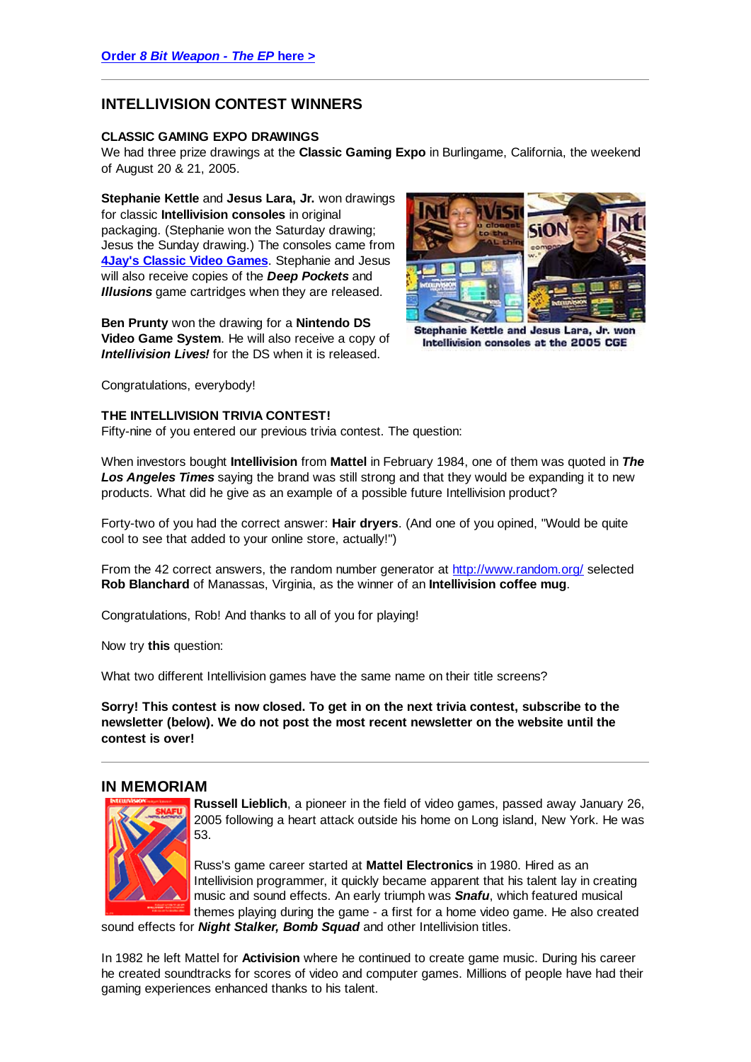## **INTELLIVISION CONTEST WINNERS**

#### **CLASSIC GAMING EXPO DRAWINGS**

We had three prize drawings at the **Classic Gaming Expo** in Burlingame, California, the weekend of August 20 & 21, 2005.

**Stephanie Kettle** and **Jesus Lara, Jr.** won drawings for classic **Intellivision consoles** in original packaging. (Stephanie won the Saturday drawing; Jesus the Sunday drawing.) The consoles came from **4Jay's Classic Video Games**. Stephanie and Jesus will also receive copies of the *Deep Pockets* and *Illusions* game cartridges when they are released.

**Ben Prunty** won the drawing for a **Nintendo DS Video Game System**. He will also receive a copy of *Intellivision Lives!* for the DS when it is released.



Stephanie Kettle and Jesus Lara, Jr. won Intellivision consoles at the 2005 CGE

Congratulations, everybody!

## **THE INTELLIVISION TRIVIA CONTEST!**

Fifty-nine of you entered our previous trivia contest. The question:

When investors bought **Intellivision** from **Mattel** in February 1984, one of them was quoted in *The* **Los Angeles Times** saying the brand was still strong and that they would be expanding it to new products. What did he give as an example of a possible future Intellivision product?

Forty-two of you had the correct answer: **Hair dryers**. (And one of you opined, "Would be quite cool to see that added to your online store, actually!")

From the 42 correct answers, the random number generator at http://www.random.org/ selected **Rob Blanchard** of Manassas, Virginia, as the winner of an **Intellivision coffee mug**.

Congratulations, Rob! And thanks to all of you for playing!

Now try **this** question:

What two different Intellivision games have the same name on their title screens?

**Sorry! This contest is now closed. To get in on the next trivia contest, subscribe to the newsletter (below). We do not post the most recent newsletter on the website until the contest is over!**

## **IN MEMORIAM**



**Russell Lieblich**, a pioneer in the field of video games, passed away January 26, 2005 following a heart attack outside his home on Long island, New York. He was 53.

Russ's game career started at **Mattel Electronics** in 1980. Hired as an Intellivision programmer, it quickly became apparent that his talent lay in creating music and sound effects. An early triumph was *Snafu*, which featured musical themes playing during the game - a first for a home video game. He also created

sound effects for *Night Stalker, Bomb Squad* and other Intellivision titles.

In 1982 he left Mattel for **Activision** where he continued to create game music. During his career he created soundtracks for scores of video and computer games. Millions of people have had their gaming experiences enhanced thanks to his talent.